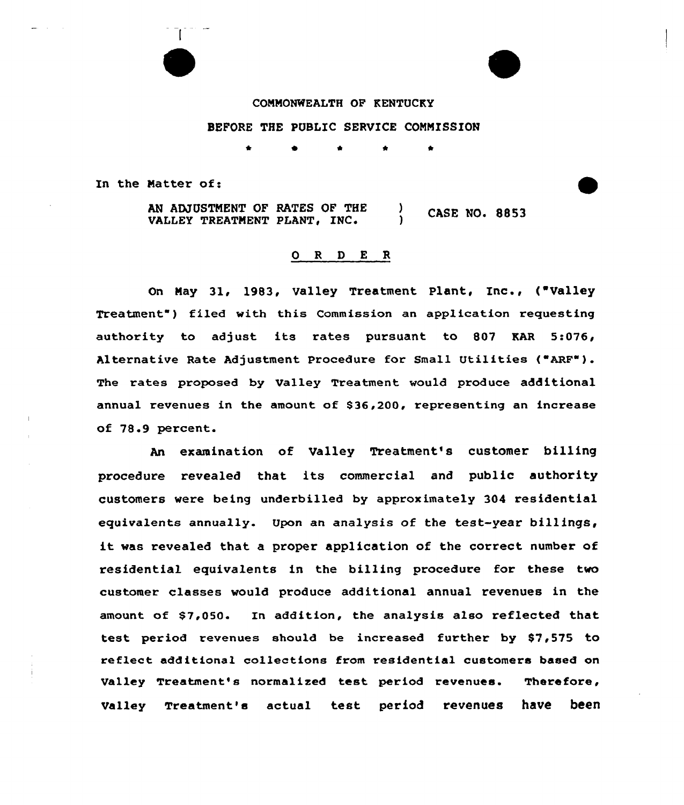COMMONWEALTH OF RENTUCKY

BEFORE THE PUBLIC SERVICE COMMISSION

In the Matter of:

AN ADJUSTMENT OF RATES OF THE ) CASE NO. 8853<br>VALLEY TREATMENT PLANT, INC. ) CASE NO. 8853

#### 0 <sup>R</sup> <sup>D</sup> E R

On May 31, 1983, Valley Treatment Plant, Inc., ( Valley Treatment") filed with this Commission an application requesting authority to adjust its rates pursuant to 807 KAR 5:076, Alternative Rate Adjustment Procedure for Small Utilities ("ARF"). The rates proposed by valley Treatment would produce additional annual revenues in the amount of \$36,200, representing an increase of 78.9 percent.

An examination of Valley Treatment's customer billing procedure revealed that its commercial and public authority customers were being underbilled by approximately 304 xesidential equivalents annually. Upon an analysis of the test-year billings, it was revealed that <sup>a</sup> proper application of the correct number of residential equivalents in the billing pxocedure for these two customer classes would produce additional annual revenues in the amount of \$7,050. In addition, the analysis also reflected that test period revenues should be increased further by 87,575 to reflect additional collections from residential customers based on Valley Treatment's normalized test period revenues. Therefore, Valley Treatment's actual test period revenues have been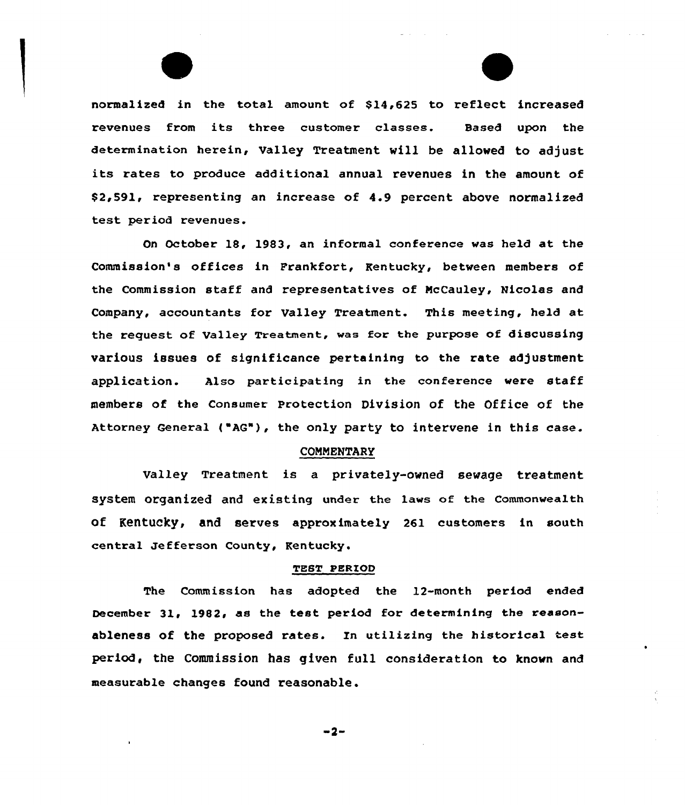normalized in the total amount of \$14,625 to reflect increased revenues from its three customer classes. Based upon the determination herein, Valley Treatment will be allowed to adjust its rates to produce additional annual revenues in the amount of \$2,591, representing an increase of 4.9 percent above normalized test period revenues.

On October 18, 1983, an informal conference vas held at the Commission's offices in Frankfort, Kentucky, between members of the Commission staff and representatives of NcCauley, Nicolas and Company, accountants fox Valley Treatment. This meeting, held at the request of Valley Treatment, was for the purpose of discussing various issues of significance pertaining to the rate adjustment application. Also participating in the conference were staff members of the Consumer Protection Division of the Office of the Attorney General ("AG"), the only party to intervene in this case.

#### COMMENTARY

Valley Treatment is a privately-owned sewage treatment system organized and existing under the lavs of the commonvealth of K8rltueky, and serves approximately 261 customers in south central Jefferson County, Kentucky.

#### TEST PERZOD

The Commission has adopted the 12-month period ended December 31, 1982, as the test period for determining the reasonableness of the proposed rates. In utilizing the historical test period, the Commission has given full consideration to known and measurable changes found reasonable.

 $-2-$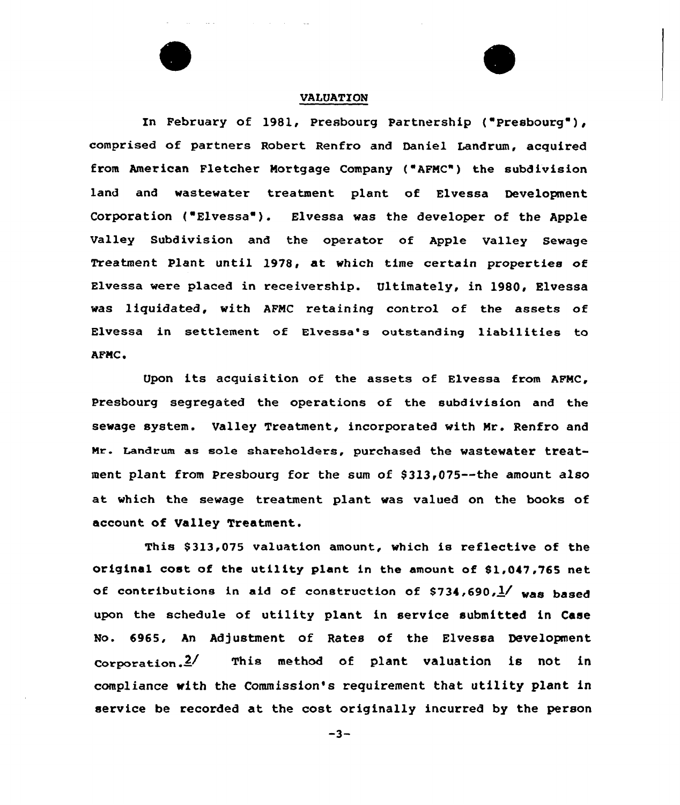

# VALUATION

In February of 1981, Presbourg Partnership ( Presbourg ), comprised of partners Robert Renfro and Daniel Landrum, acquired from American Fletcher Mortgage Company ( AFMC") the subdivision land and wastewater treatment plant of Elvessa Development Corporation ( Elvessa ). Elvessa was the developer of the Apple Valley Subdivision and the operator of Apple Valley Sewage Treatment Plant until 1978, at which time certain properties of Elvessa were placed in receivership. Ultimately, in 1980, Elvessa was liquidated, with AFMC retaining control of the assets of Elvessa in settlement of Elvessa's outstanding liabilities to AFMC.

Upon its acquisition of the assets of Elvessa from  $AFMC$ , Presbourg segregated the operations of the subdivision and the sewage system. Valley Treatment, incorporated with Mr. Renfro and Mr. Landrum as sole shareholders, purchased the wastewater treatment plant from Presbourg for the sum of \$313,075 -- the amount also at which the sewage treatment plant was valued on the books of account of Valley Treatment.

This 8313,075 valuation amount, which is reflective of the original cost of the utility plant in the amount of \$1,047,765 net of contributions in aid of construction of  $$734,690$ ,  $\frac{1}{2}$  was based upon the schedule of utility plant in service submitted in Case No. 6965, An Adjustment of Rates of the Elvessa Development  $correction.$  This method of plant valuation is not in compliance with the Commission's requirement that utility plant in service be recorded at the cost originally incurred by the person

 $-3-$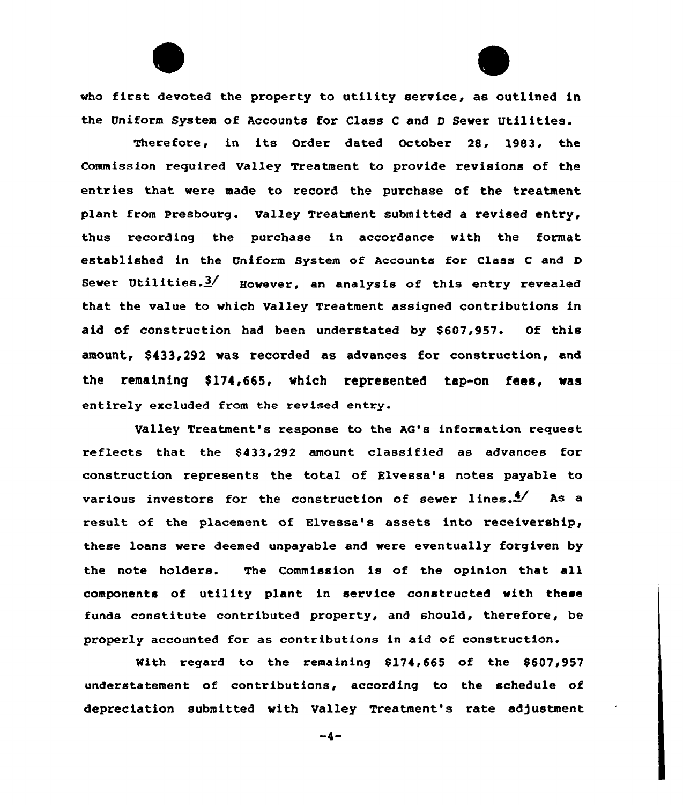who first devoted the property to utility service, as outlined in the Uniform System of Accounts for Class <sup>C</sup> and <sup>D</sup> Sewer Utilities.

Therefore, in its Order dated October 28, 1983, the Commission required Valley Treatment to provide revisions of the entries that were made to record the purchase of the treatment plant from Presbourg. Valley Treatment submitted a revised entry, thus recording the purchase in accordance with the format established in the Uniform System of Accounts for Class <sup>C</sup> and <sup>D</sup> Sewer Utilities. $3/$  However, an analysis of this entry revealed that the value to which Valley Treatment assigned contributions in aid of construction had been understated by \$607,957. Of this amount, \$433,292 was recorded as advances for construction, and the remaining \$174,665, which represented tap-on fees, was entirely excluded from the revised entry.

Valley Treatment's response to the AQ's information request reflects that the \$433,292 amount, classified as advances for construction represents the total of Elvessa's notes payable to various investors for the construction of sewer lines. $\frac{4}{ }$  As a result of the placement of Elvessa's assets into receivership, these loans were deemed unpayable and were eventually forgiven by the note holders. The Commission is of the opinion that all components of utility plant in service constructed with there funds constitute contributed property, and should, therefore, be properly accounted for as contributions in aid of construction.

With regard to the remaining  $$174,665$  of the  $$607,957$ understatement of contributions, according to the schedule of depreciation submitted with Valley Treatment's rate adjustment

 $-4-$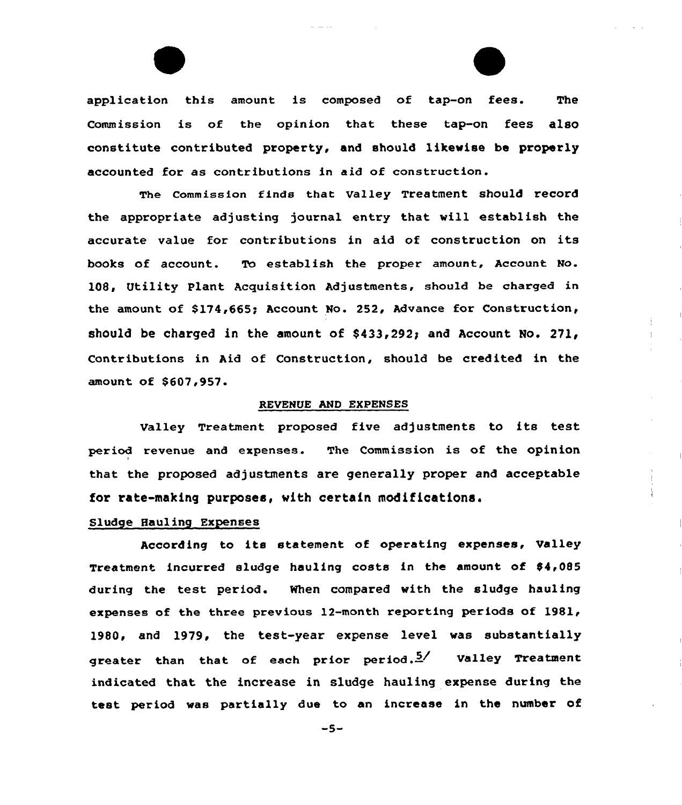application this amount is composed of tap-on fees. The Commission is of the opinion that these tap-on fees also constitute contributed property, and should likevise be properly accounted for as contributions in aid of construction.

fees.

The Commission finds that Valley Treatment should record the appropriate adjusting journal entry that vill establish the accurate value for contributions in aid of construction on its books of account. To establish the proper amount, Account No. 108, Utility Plant Acquisition Adjustments, should be charged in the amount of \$174,665; Account No. 252, Advance for Construction, should be charged in the amount of  $$433,292$ ; and Account No. 271, Contributions in Aid of Construction, should be credited in the amount of \$607,957.

### REVENUE AND EXPENSES

Valley Treatment proposed five adjustments to its test period revenue and expenses. The Commission is of the opinion that the proposed adjustments are generally proper and acceptable for rate-making purposes, vith certain modifications.

# Sludge Hauling Expenses

According to its statement of operating expenses, Valley Treatment incurred sludge hauling costs in the amount of 84,085 during the test period. When compared vith the sludge hauling expenses of the three previous 12-month reporting periods of 1981, 1980, and 1979, the test-year expense level vas substantially greater than that of each prior period. $\frac{5}{4}$  Valley Treatment indicated that the increase in sludge hauling expense during the test period vas partially due to an increase in the number of

 $-5-$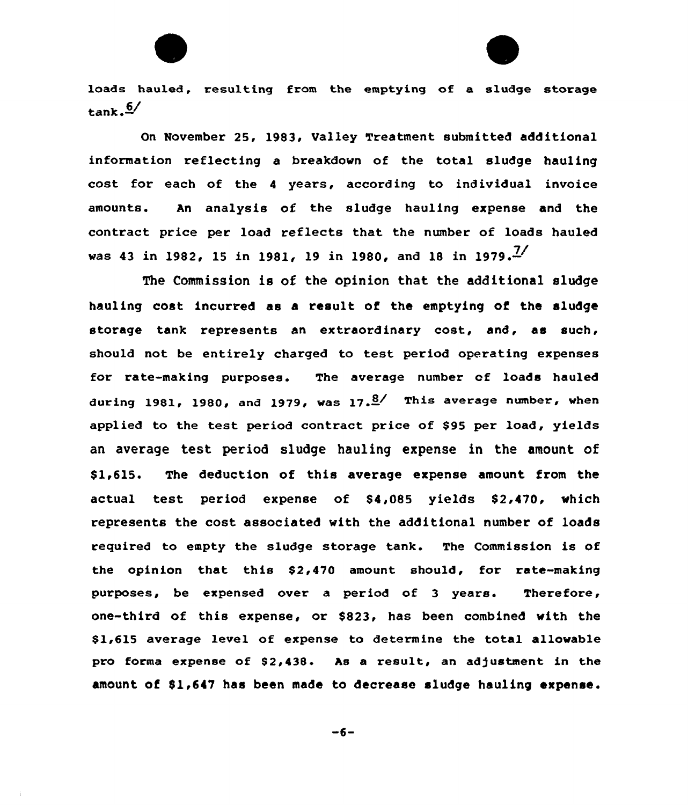loads hauled, resulting from the emptying of a sludge storage  $\tan k$ ,  $\frac{6}{ }$ 

On November 25, 1983, Valley Treatment submitted additional information reflecting a breakdown of the total sludge hauling cost for each of the <sup>4</sup> years, according to individual invoice amounts. An analysis of the sludge hauling expense and the contract price per load reflects that the number of loads hauled was 43 in 1982, 15 in 1981, 19 in 1980, and 18 in 1979.<sup>7</sup>/

The Commission is of the opinion that the additional sludge hauling cost incurred as a result of the emptying of the sludge storage tank represents an extraordinary cost, and, as such, should not be entirely charged to test period operating expenses for rate-making purposes. The average number of loads hauled during 1981, 1980, and 1979, was  $17.8$ <sup>/</sup> This average number, when applied to the test period contract price of \$95 per load, yields an average test period sludge hauling expense in the amount of \$1,615. The deduction of this average expense amount from the actual test period expense of 84,085 yields 82,470, which represents the cost associated with the additional number of loads required to empty the sludge storage tank. The Commission is of the opinion that this \$2,470 amount should, for rate-making purposes, be expensed over a period of 3 years. Therefore, one-third of this expense, or \$823, has been combined with the \$1,615 average level of expense to determine the total allowable pro forma expense of \$2,438. As a result, an adjustment in the amount of 81,647 has been made to decrease sludge hauling expense.

 $-6-$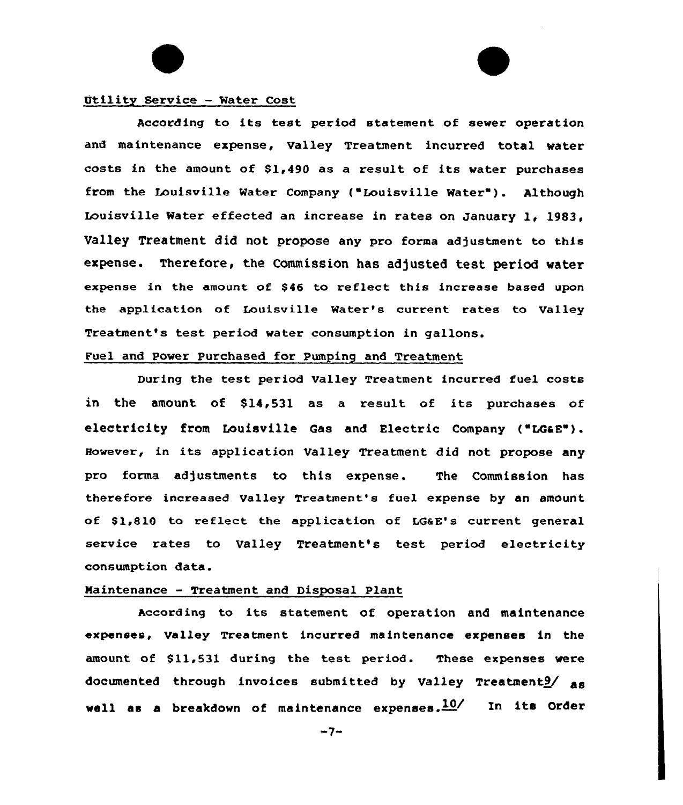



### Utility Service - Water Cost

According to its test period statement of sewer operation and maintenance expense, Valley Treatment incurred total water costs in the amount of \$1,490 as <sup>a</sup> result of its water purchases from the Louisville Water Company ("Louisville Water"). Although Louisville Water effected an increase in rates on January 1, 1983, Valley Treatment did not propose any pro forma adjustment to this expense. Therefore, the Commission has adjusted test period water expense in the amount of \$46 to reflect this increase based upon the application of Louisville Water's current rates to Valley Treatment's test period water consumption in gallons.

# Fuel and Power Purchased for Pumping and Treatment

During the test period Valley Treatment incurred fuel costs in the amount. of S14,531 as <sup>a</sup> result of its purchases of electricity from Louisville Gas and Electric Company ("LGaE"). However, in its application Valley Treatment did not propose any pro forma adjustments to this expense. The Commission has therefore increased Valley Treatment's fuel expense by an amount of \$1,810 to reflect the application of LG&E's current general service rates to Valley Treatment's test period electricity consumption data.

#### Maintenance — Treatment and Disposal Plant

According to its statement of operation and maintenance expenses, Valley Treatment incurred maintenance expenses in the amount of 811,531 during the test period. These expenses were documented through invoices submitted by Valley Treatment $9/$  as well as a breakdown of maintenance expenses. $10/$  In its Order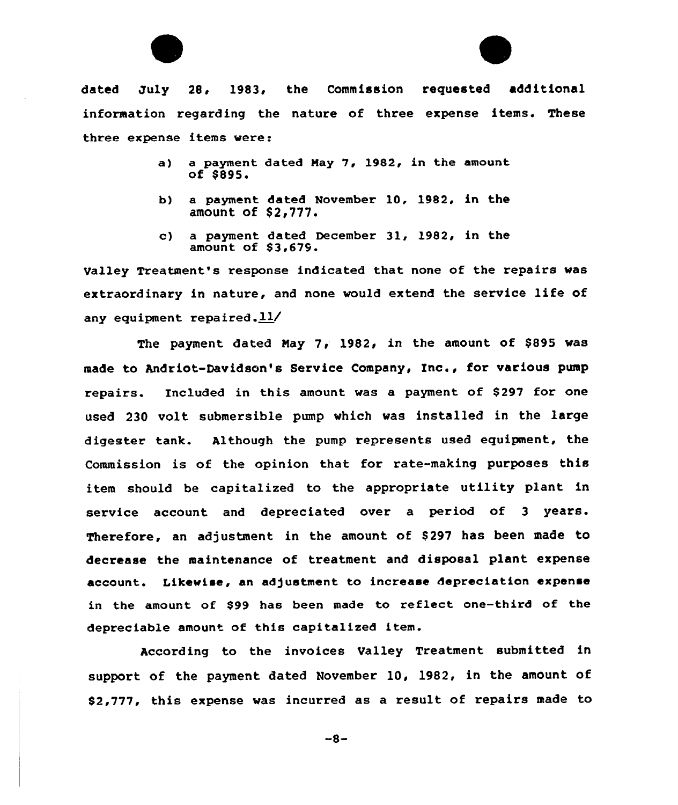



dated July 28, 1983, the Commission requested additional information regarding the nature of three expense items. These three expense items were:

- a) a payment dated Nay 7, 1982, in the amount of \$895.
- b) a payment dated November 10, 1982, in the amount of \$2,777.
- c) a payment dated December 31, l982, in the amount of 83,679.

Valley Treatment's response indicated that none of the repairs was extraordinary in nature, and none would extend the service life of any equipment repaired. $11/$ 

The payment dated Nay 7, 1982, in the amount of \$895 was made to Andriot-Davidson's Service Company, Inc., for various pump repairs. Included in this amount was a payment of \$297 for one used 230 volt submersible pump which was installed in the large digester tank. Although the pump represents used equipment, the Commission is of the opinion that for rate-making purposes this item should be capitalized to the appropriate utility plant in service account and depreciated over a period of 3 years. Therefore, an adjustment in the amount of \$297 has been made to decrease the maintenance of treatment and disposal plant expense account. Likewise, an adjustment to increase depreciation expense in the amount of \$99 has been made to reflect one-third of the depreciable amount of this capitalized item.

According to the invoices Valley Treatment submitted in support of the payment dated November 10, 1982, in the amount of 82,777, this expense was incurred as a result of repairs made to

 $-8-$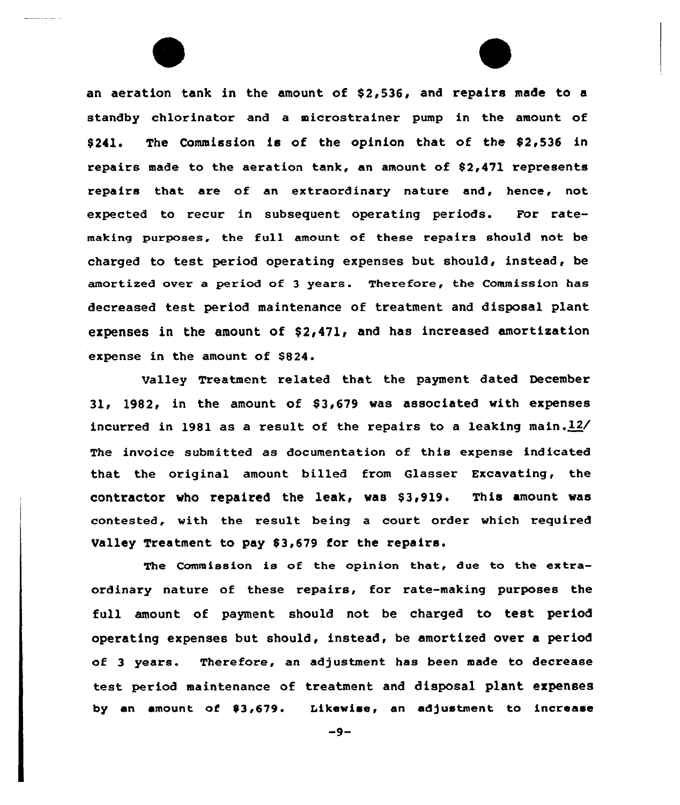an aeration tank in the amount of \$2,536, and repairs made to a standby chlorinator and a microstrainer pump in the amount of  $$241.$  The Commission is of the opinion that of the  $$2,536$  in repairs made to the aeration tank, an amount of 82,471 represents repairs that are of an extraordinary nature and, hence, not expected to recur in subsequent operating periods. For ratemaking purposes, the full amount of these repairs should not be charged to test period operating expenses but should, instead, be amortized aver a period of 3 years. Therefore, the Commission has decreased test period maintenance of treatment and disposal plant expenses in the amount of  $$2,471$ , and has increased amortization expense in the amount of \$824.

Valley Treatment related that the payment dated December 31, 1982, in the amount of  $$3,679$  was associated with expenses incurred in 1981 as a result of the repairs to a leaking main. $12/$ The invoice submitted as documentation af this expense indicated that the original amount billed from Glasser Excavating, the contractor who repaired the leak, was \$3,919. This amount was contested, with the result being a court order which required Valley Treatment to pay \$3,679 for the repairs.

The Commission is of the opinion that, due to the extraordinary nature of these repairs, for rate-making purposes the full amount of payment should not be charged to test period operating expenses but should, instead, be amortized over a period of 3 years. Therefore, an adjustment has been made to decrease test period maintenance of treatment and disposal plant expenses by an amount af 03,679. Likewise, an adjustment to increase

 $-9-$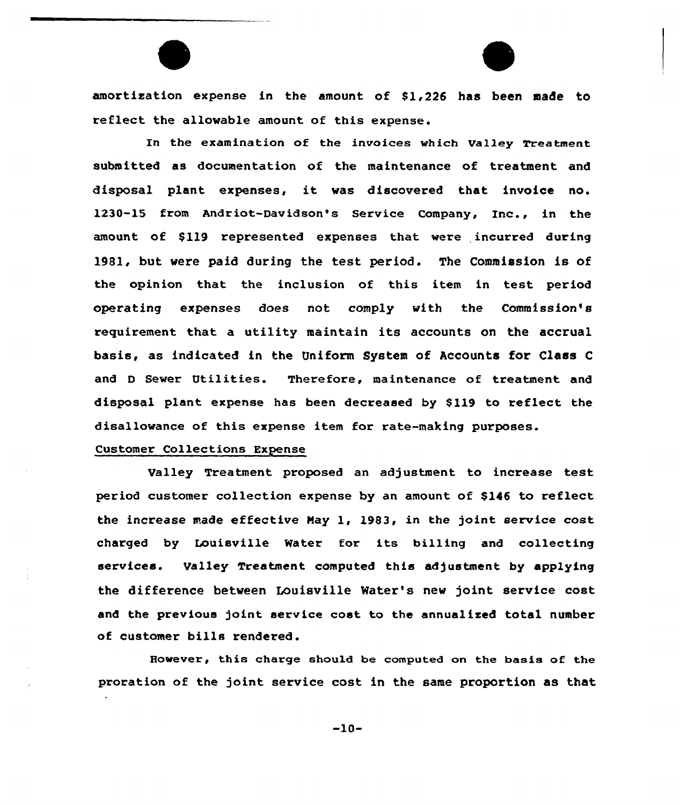amortisation expense in the amount of \$1 226 has been made to reflect the allowable amount of this expense.

In the examination of the invoices which Valley Treatment submitted as documentation of the maintenance of treatment and disposal plant expenses, it was discovered that invoice no. 1230-15 from Andriot-Davidson's Service Company, Inc., in the amount of \$119 represented expenses that were incurred during 1981, but were paid during the test period. The Commission is of the opinion that the inclusion of this item in test period operating expenses does not comply with the Commission's requirement that a utility maintain its accounts on the accrual basis, as indicated in the Uniform System of Accounts for Class <sup>C</sup> and <sup>D</sup> Sewer Utilities. Therefore, maintenance of treatment and disposal plant expense has been decreased by \$119 to reflect the disallowance of this expense item for rate-making purposes.

# Customer Collections Expense

Valley Treatment proposed an adjustment to increase test period customer collection expense by an amount of \$146 to reflect the increase made effective Nay 1, 1983, in the joint service cost charged by Louisville Water for its billing and collecting services. Valley Treatment computed this adjustment by applying the difference between Louisville Mater's new joint service cost and the previous joint service cost to the annualixed total number of customer bills rendered.

However, this charge should be computed on the basis of the proration of the joint service cost in the same proportion as that

 $-10-$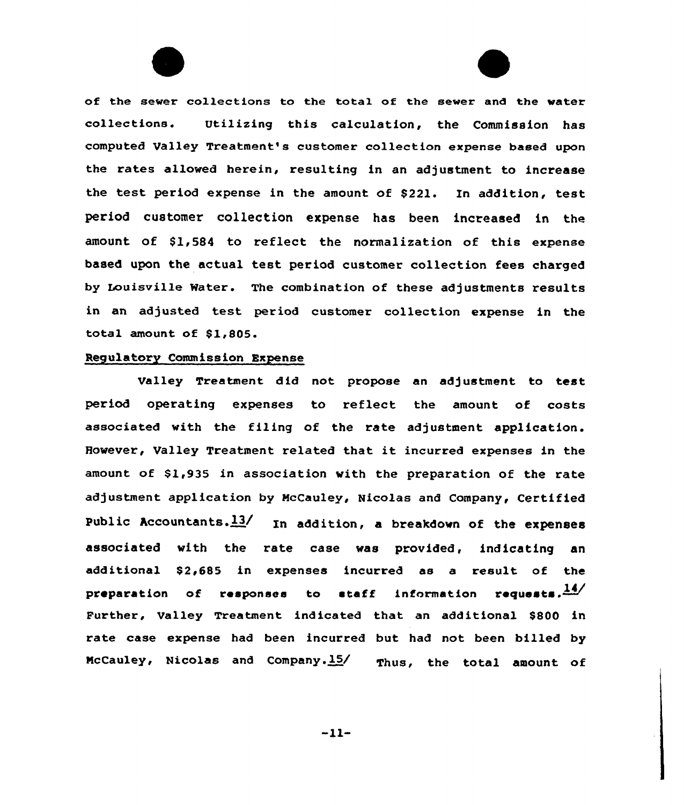of the sewer collections to the tota1 of the sewer and the water collections. Utilizing this calculation, the Commission has computed Valley Treatment's customer collection expense based upon the rates allowed herein, resulting in an adjustment to increase the test period expense in the amount of \$221. In addition, test period customer collection expense has been increased in the amount of \$1,584 to reflect the normalization of this expense based upon the actual test period customer collection fees charged by Louisville Water. The combination of these adjustments results in an adjusted test period customer collection expense in the total amount of \$1,805.

#### Regulatory Commission Expense

Valley Treatment did not propose an adjustment to test period operating expenses to reflect the amount of costs associated with the filing of the rate adjustment application. However, Valley Treatment related that it incurred expenses in the amount of \$1,935 in association vith the preparation of the rate adjustment application by McCauley, Nicolas and Company, Certified Public Accountants. $13/$  In addition, a breakdown of the expenses associated with the rate case vas provided, indicating an additional \$2,685 in expenses incurred as a result of the preparation of responses to staff information requests. $\frac{14}{14}$ Further, Valley Treatment indicated that an additional \$800 in rate case expense had been incurred but had not been billed by McCauley, Nicolas and Company.15/ Thus, the total amount of

 $-11-$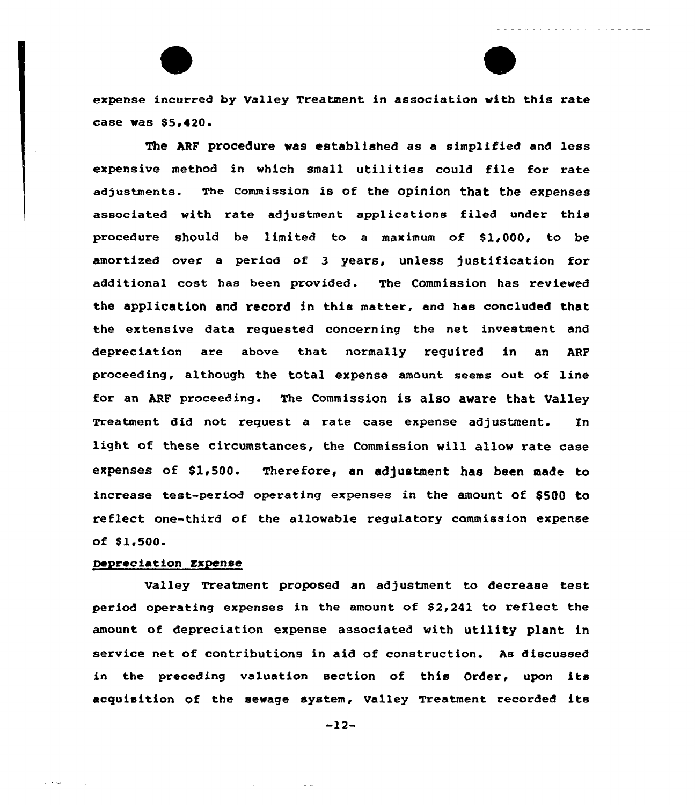expense incurred by Valley Treatment in association with this rate case was \$5,420.

The ARF procedure was established as a simplified and less expensive method in which small utilities could file for rate adjustments. The commission is of the opinion that the expenses associated with rate adjustment applications filed under this procedure should be limited to a maximum of S1,000, to be amortized aver a period of 3 years, unless justification for additional cost has been provided. The Commission has reviewed the application and record in this matter, and has concluded that the extensive data requested concerning the net investment and depreciation are above that normally required in an ARF proceeding, although the total expense amount seems out, of line for an ARF proceeding. The commission is also aware that Valley Treatment did not request a rate case expense adjustment. In light of these circumstances, the Commission will allow rate case expenses of \$1,500. Therefore, an adjustment has been made to increase test-periad operating expenses in the amount of \$5QQ to reflect one-third of the allowable regulatory commission expense of Sl,500

# Depreciation Expense

 $\omega$  . The set  $\omega$  and

Valley Treatment proposed an ad justment to decrease test period operating expenses in the amount of  $$2,241$  to reflect the amount of depreciation expense associated with utility plant in service net of contributions in aid of construction. As discussed in the preceding valuation section of this Order, upon its acquisition of the sewage system, Valley Treatment recorded its

-12-

 $\mathcal{A}^{\mathcal{A}}$  . The property state and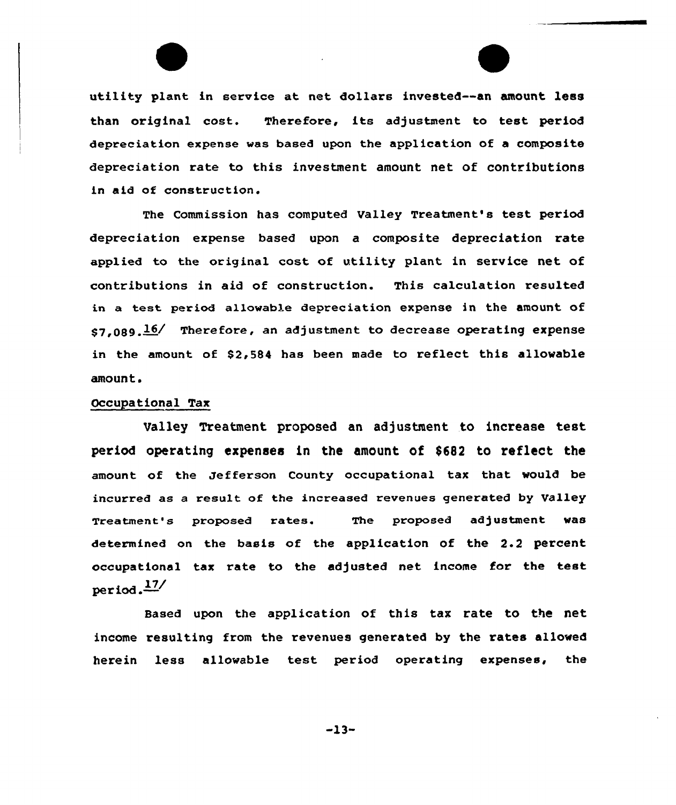utility plant in service at net dollars invested--an amount less than original cost. Therefore, its adjustment to test period depreciation expense was based upon the application of a composite depreciation rate to this investment amount net of contributions in aid of construction.

The Commission has computed Valley Treatment's test period depreciation expense based upon a composite depreciation rate applied to the original cost of utility plant in service net of contributions in aid of construction. This calculation resulted in a test period allowable depreciation expense in the amount of  $s7.089.16/$  Therefore, an adjustment to decrease operating expense in the amount of \$2,584 has been made to reflect this allowable amount.

#### Occupational Tax

Ualley Treatment proposed an adjustment to increase test period operating expenses in the amount of \$682 to reflect the amount of the Jefferson County occupational tax that would be incurred as a result of the increased revenues generated by Valley Treatment's proposed rates. The proposed adjustment was determined on the basis of the application of the 2.2 percent occupational tax rate to the adjusted net income for the test period. $\frac{17}{ }$ 

Based upon the application of this tax rate to the net income resulting from the revenues generated by the rates allowed herein less allowable test period operating expenses, the

-13-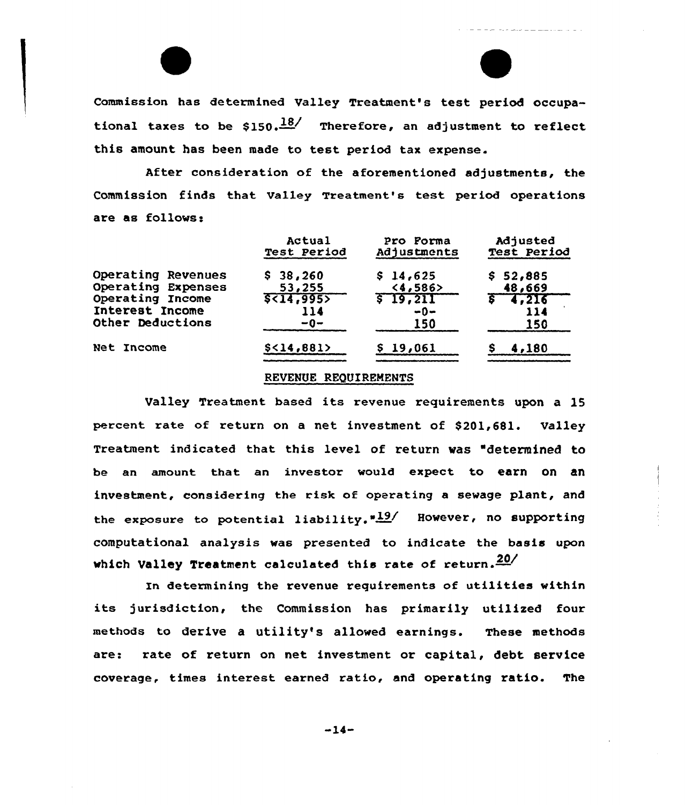Commission has determined Valley Treatment's test period occupational taxes to be \$150. $\frac{18}{\sqrt{5}}$  Therefore, an adjustment to reflect this amount has been made to test period tax expense.

After consideration of the aforementioned adjustments, the Commission finds that valley Treatment's test period operations are as follows:

|                    | Actual                   | Pro Forma   | Adjusted    |
|--------------------|--------------------------|-------------|-------------|
|                    | Test Period              | Adjustments | Test Period |
| Operating Revenues | \$38,260                 | \$14,625    | \$52,885    |
| Operating Expenses | 53,255                   | <4,586>     | 48,669      |
| Operating Income   | \$ <sub>14,995&gt;</sub> | \$19,211    | $5 - 4,216$ |
| Interest Income    | 114                      | $-0-$       | 114         |
| Other Deductions   | $-0-$                    | 150         | 150         |
| Net Income         | $$<$ 14,881>             | \$19,061    | 4,180       |

## REVENUE REQUIREMENTS

Valley Treatment based its revenue requirements upon a 15 percent rate of return on a net investment of \$201,681. Valley Treatment indicated that. this level of return was "determined to be an amount that an investor would expect to earn On an investment, considering the risk of operating a sewage plant, and the exposure to potential liability." $19/$  However, no supporting computational analysis was presented to indicate the basis upon which Valley Treatment calculated this rate of return. $\frac{20}{ }$ 

In determining the revenue requirements of utilities within its jurisdiction, the Commission has primarily utilized four methods to derive a utility's allowed earnings. These methods are: rate of return on net investment or capital, debt service coverage, times interest earned ratio, and operating ratio. The

 $-14-$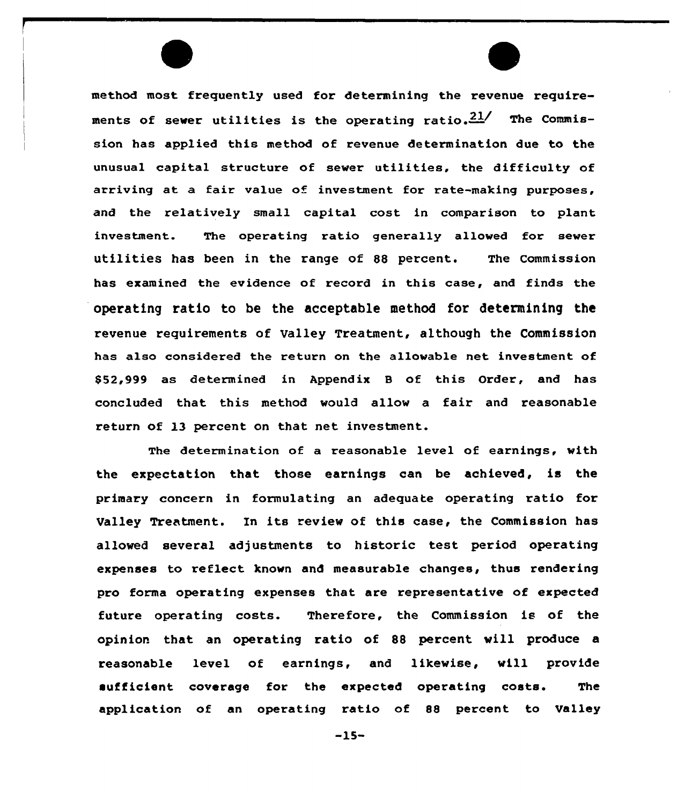method most frequently used for determining the revenue requirements of sewer utilities is the operating ratio. $21/$  The Commission has applied this method of revenue determination due to the unusual capital structure of sewer utilities, the difficulty of arriving at a fair value of investment for rate-making purposes, and the relatively small capital cost in comparison to plant investment. The operating ratio generally allowed for sewer utilities has been in the range of 88 percent. The Commission has examined the evidence of record in this case, and finds the operating ratio to be the acceptable method for determining the revenue requirements of Valley Treatment, although the Commission has also considered the return on the allowable net investment of \$ 52,999 as determined in Appendix <sup>B</sup> of this Order, and has concluded that this method would allow a fair and reasonable return of 13 percent on that net investment.

The determination of a reasonable level of earnings, with the expectation that those earnings can be achieved, is the primary concern in formulating an adequate operating ratio for Valley Treatment. In its review of this case, the Commission has allowed several adjustments to historic test period operating expenses to reflect known and measurable changes, thus rendering pro forma operating expenses that are representative of expected future operating costs. Therefore, the Commission is of the opinion that an operating ratio of 88 percent will produce a reasonable level of earnings, and likewise, will provide sufficient coverage for the expected operating costs. The application of an operating ratio of 88 percent to Valley

-15-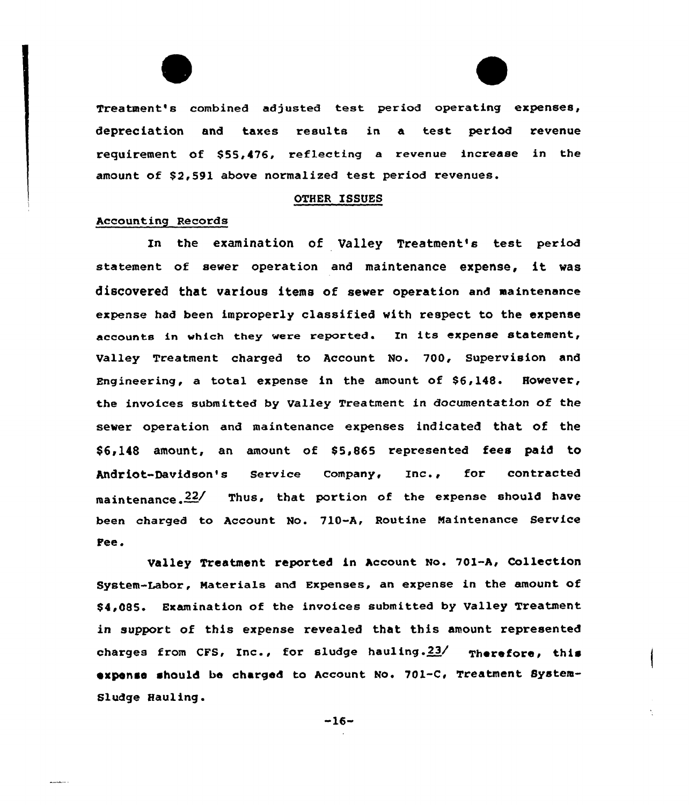Treatment's combined adjusted test period operating expenses, depreciation and taxes results in a test period revenue requirement Of \$55,476, reflecting a revenue increase in the amount of \$2,591 above normalized test period revenues.

#### OTHER ISSUES

#### Accounting Records

In the examination of Valley Treatment's test period statement of sever operation and maintenance expense, it vas discovered that various items of sewer operation and maintenance expense had been improperly classified vith respect to the expense accounts in which they were reported. In its expense statement, Valley Treatment charged to Account No. 700, Supervision and Engineering, a total expense in the amount of \$6,148. Hovever, the invoices submitted by Valley Treatment in documentation of the sewer operation and maintenance expenses indicated that of the \$6,148 amount, an amount of \$5,865 represented fees paid to Andriot-Davidson's service company, Inc., for contracted maintenance.  $22/$  Thus, that portion of the expense should have been charged to Account No. 710-A, Routine Maintenance Service Fee.

Valley Treatment reported in Account No. 701-A, Collection System-Labor, Materials and Expenses, an expense in the amount of \$4,0&5. Examination of the invoices submitted by Valley Treatment in support of this expense revealed that this amount represented charges from CFS, Inc., for sludge hauling.  $23/$  Therefore, this expense should be charged to Account Mo. 701-C, Treatment System-Sludge Hauling.

-16-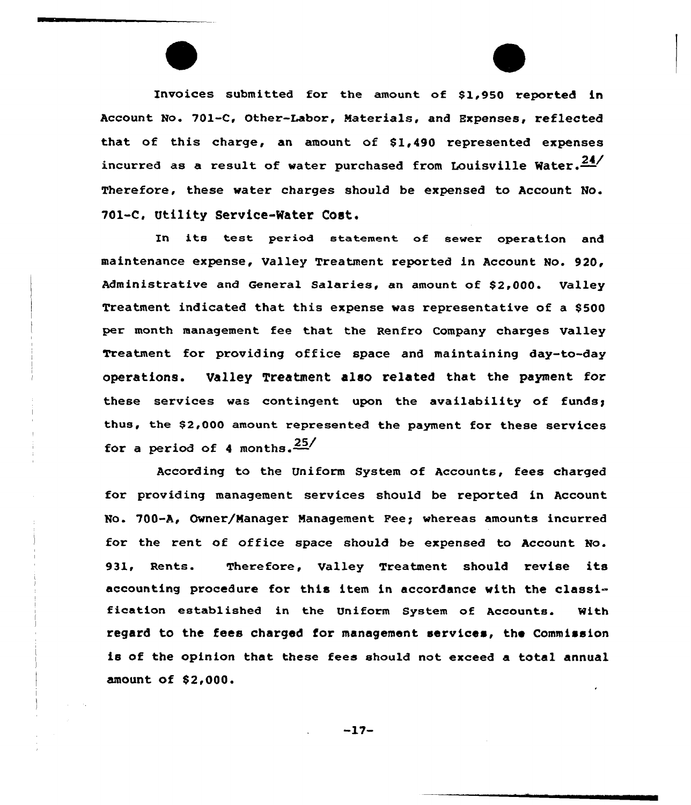Invoices submitted for the amount of \$1,950 reported in Account No. 701-C, Other-Labor, Materials, and Expenses, reflected that of this charge, an amount of  $$1.490$  represented expenses incurred as a result of water purchased from Louisville Water. $\frac{24}{1}$ Therefore, these water charges should be expensed to Account No. 701-C, Utility Service-Water Cost.

In its test period statement of sewer operation and maintenance expense, Valley Treatment reported in Account No. 920, Administrative and General Salaries. an amount of \$2,000. Valley Treatment indicated that this expense was representative of a \$500 per month management fee that the Renfro Company charges Valley Treatment for providing office space and maintaining day-to-day operations. Valley Treatment also related that the payment for these services was contingent upon the availability of funds; thus, the \$2,000 amount represented the payment for these services for a period of 4 months.  $\frac{25}{ }$ 

According to the Uniform System of Accounts, fees charged for providing management services should be reported in Account No. 700-A, Owner/Manager Management Fee; whereas amounts incurred for the rent of office space should be expensed to Account No. 931, Rents. Therefore, Valley Treatment should revise its accounting procedure for this item in accordance with the classification established in the Uniform System of Accounts. With regard to the fees charged for management services, the Commission is of the opinion that these fees should not exceed a total annual amount of \$2,000.

 $-17-$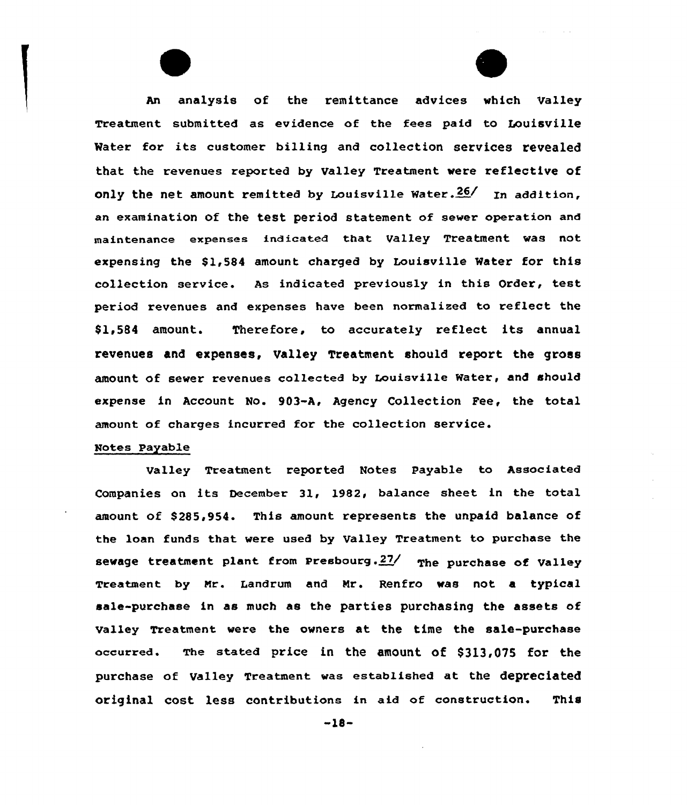An analysis of the remittance advices vhich Valley Treatment submitted as evidence of the fees paid to Louisville Mater for its customer billing and collection services revealed that the revenues reported by Valley Treatment vere reflective of only the net amount remitted by Louisville Water. $26/$  In addition. an examination of the test period statement of sewer operation and maintenance expenses indicated that Valley Treatment was not expensing the \$1,584 amount charged by Louisville Water for this collection service. As indicated previously in this Order, test period revenues and expenses have been narmalixed to reflect the \$ 1,584 amount. Therefore, to accurately reflect its annual revenues and expenses, Valley Treatment should report the gross amount of sewer revenues collected by Louisville Water, and should expense in Account No. 903-A, Agency Collection Fee, the total amount of charges incurred for the collection service.

# Notes Payable

Valley Treatment reported Notes Payable to Associated Companies on its December 31, 1982, balance sheet in the total amount of \$285,954. This amount represents the unpaid balance of the loan funds that were used by Valley Treatment to purchase the sewage treatment plant from Presbourg. $27/$  The purchase of Valley Treatment by Nr. Landrum and Nr. Renfro vas not a typical sale-purchase in as much as the parties purchasing the assets of valley Treatment vere the ovners at the time the sale-purchase occurred. The stated price in the amount of \$313,075 for the purchase of Valley Treatment was established at the depreciated original cost less contributions in aid of construction. This

 $-18-$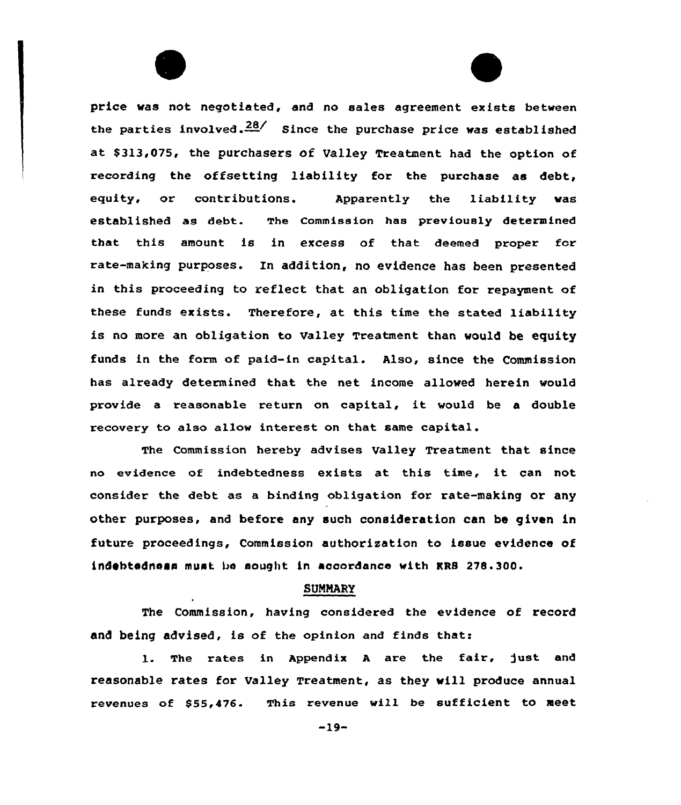price vas not negotiated, end no sales agreement exists between the parties involved.  $28/$  Since the purchase price was established at \$313,075, the purchasers of Valley Treatment had the option of recording the offsetting liability for the purchase es debt, equity, or contributions. Apparently the liability was established as debt. The commission has previously determined that this amount is in excess of that deemed proper for rate-making purposes. In addition, no evidence has been presented in this proceeding to reflect that an obligation for repayment of these funds exists. Therefore, at this time the stated liability is no more an obligation to Valley Treatment than would be equity funda in the form of paid-in capital. Also, since the Commission has already determined that the net income allowed herein would provide <sup>a</sup> reasonable return on capital, it would be <sup>a</sup> double recovery to also allow interest on that same capital.

The Commission hereby advises Valley Treatment that since no evidence of indebtedness exists at this time, it can not consider the debt as a binding obligation for rate-making or any other purposes, and before any such consideration can be given in future proceedings, Commission authorisation to issue evidence of indebtedness must bs sought in accordance with KRB 278.300.

# SUNMARV

The Commission, having considered the evidence of record and being advised, is of the opinion and finds that:

1. The rates in Appendix A are the fair, just and reasonable rates for Valley Treatment, as they vill produce annual revenues of \$55,476. This revenue will be sufficient to meet

-19-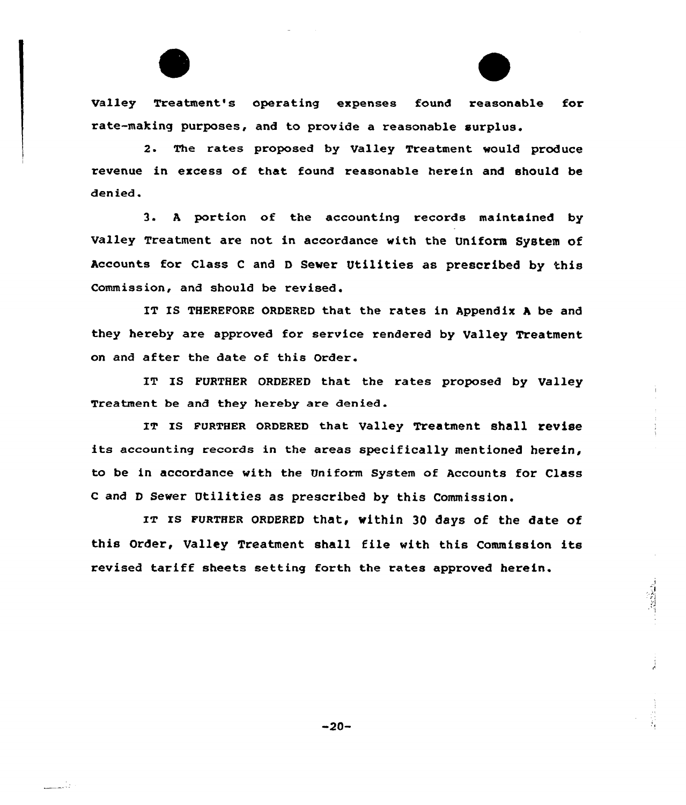Valley Treatment's operating expenses found reasonable for rate-making purposes, and to provide a reasonable surplus.

2. The rates proposed by Valley Treatment would produce revenue in excess of that found reasonable herein and should be denied.

3. <sup>A</sup> portion of the accounting records maintained by Valley Treatment are not in accordance with the Uniform System of Accounts for Class <sup>C</sup> and <sup>D</sup> Sewer Utilities as prescribed by this Commission, and should be revised.

IT IS THEREFORE ORDERED that the rates in Appendix A be and they hereby are approved for service rendered by Valley Treatment on and after the date of this Order.

IT IS FURTHER ORDERED that the rates proposed by Valley Treatment be and they hereby are denied.

IT Is FURTHER oRDERED that valley Treatment shall revise its accounting records in the areas specifically mentioned herein, to be in accordance with the Uniform System of Accounts for Class <sup>C</sup> and <sup>D</sup> Sewer Utilities as prescribed by this Commission.

IT IS FURTHER ORDERED that, within 30 days of the date of this Order, Valley Treatment shall file with this Commission its revised tariff sheets setting forth the rates approved herein.

 $-20-$ 

i i slo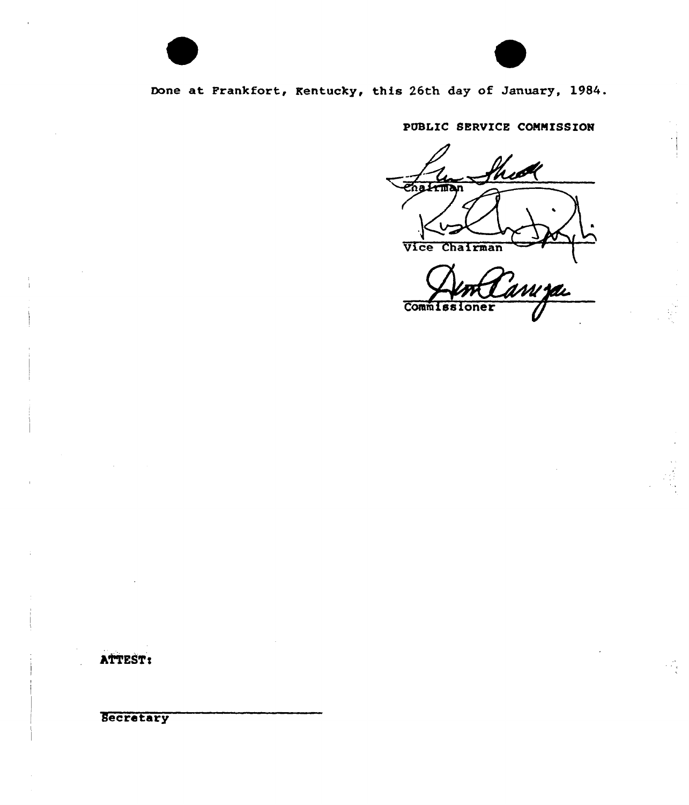

# Bone at Frankfort, Kentucky, this 26th day of January, 1984.

# PUBLIC SERVICE COMMISSION

hid enatiman Vice Chairman

m **za** Commiss!  $onex$ 

 $\mathcal{L}_{\mathcal{A}}$ 

ATTEST:

**Secretary**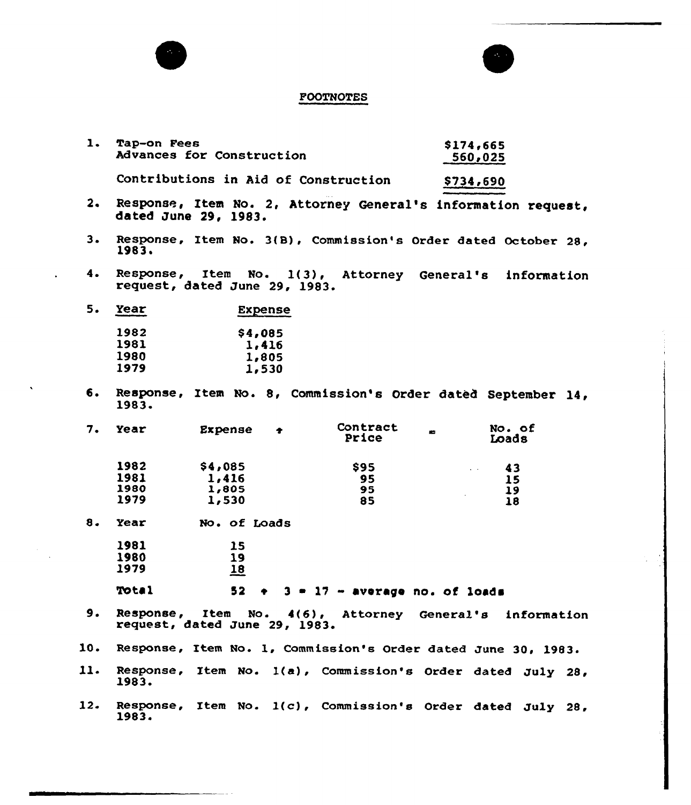

| ı. | <b>Tap-on Fees</b>        | \$174,665 |
|----|---------------------------|-----------|
|    | Advances for Construction | 560,025   |
|    |                           |           |

Contributions in Aid of Construction \$734,690

- $2.$ Response, Item No. 2, Attorney General's information request, dated June 29, 1983.
- $3.$ Response, Item No. 3(B), Commission's Order dated October 28,<br>1983.
- $4.$ Response, Item No. 1(3), Attorney General's information request, dated June 29, 1983.

| 5.<br>Year | <b>Expense</b> |  |  |
|------------|----------------|--|--|
| 1982       | \$4,085        |  |  |
| 1981       | 1,416          |  |  |
| 1980       | 1,805          |  |  |
| 1979       | 1,530          |  |  |
|            |                |  |  |

6. Re<mark>sponse, Item No. 8, Commi</mark>ssion's Order dated September 14,<br>1983.

| 7. | Year | Expense | ÷ | Contract<br>Price | No. of<br>Loads                |
|----|------|---------|---|-------------------|--------------------------------|
|    | 1982 | \$4,085 |   | <b>S95</b>        | 43<br>$\sim$                   |
|    | 1981 | 1,416   |   | 95                | 15                             |
|    | 1980 | 1,805   |   | 95                | 19                             |
|    | 1979 | 1,530   |   | 85                | $\overline{\phantom{a}}$<br>18 |
|    |      |         |   |                   |                                |

8. Year No. of Loads

| 1981 | 15         |
|------|------------|
| 1980 | 19         |
| 1979 | <u> 18</u> |

Tota1

# $52 + 3 + 17 -$  average no. of loads

- $9.$ Response, Item No. 4{6), Attorney General's information request, dated June 29, 1983.
- Response, Item No. l, Commission's Order dated June 30, 1983. 10.
- 11. Response, Item No. 1(a), Commission's Order dated July 28, 1983.
- 12 Response, Item No. 1(c), Commission's Order dated July 28, 1983~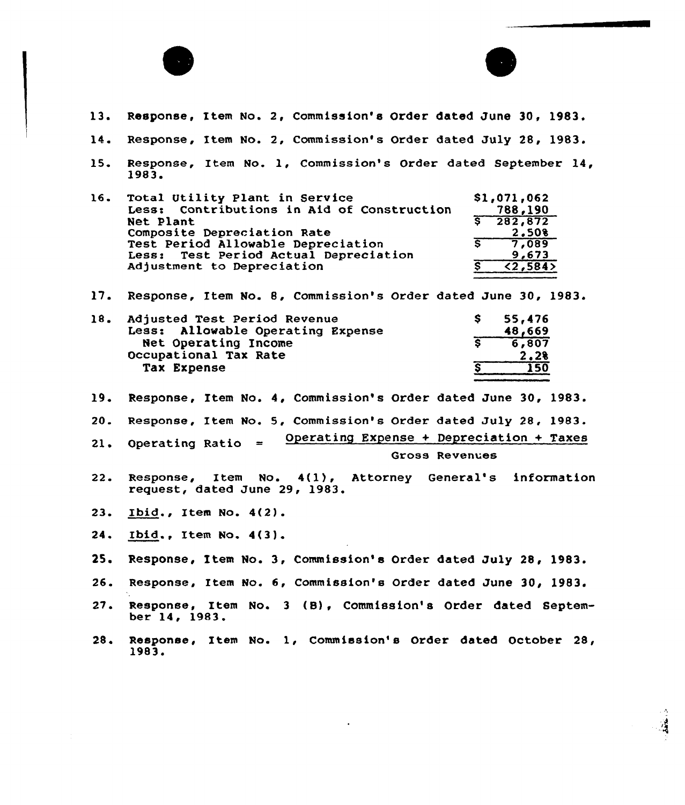

- 13. Response, Item No. 2, Commission's Order dated June 30, 1983.
- 14. Response, Item No. 2, Commission's Order dated July 28, 1983.
- 15. Response, Item No. 1, Commission's Order dated September 14, 1983.

| 16. | Total Utility Plant in Service<br>Less: Contributions in Aid of Construction | \$1,071,062<br>788,190 |
|-----|------------------------------------------------------------------------------|------------------------|
|     | Net Plant                                                                    | $\sqrt{282,872}$       |
|     | Composite Depreciation Rate                                                  | 2.508                  |
|     | Test Period Allowable Depreciation                                           | 7.089                  |
|     | Less: Test Period Actual Depreciation                                        | 9,673                  |
|     | Adjustment to Depreciation                                                   | $\overline{2,584}$     |

17. Response, Item No. 8, Commission's Order dated June 30, 1983.

| 18. | Adjusted Test Period Revenue      | 55,476       |
|-----|-----------------------------------|--------------|
|     | Less: Allowable Operating Expense | 48,669       |
|     | Net Operating Income              | 6,807        |
|     | Occupational Tax Rate             | 2.28         |
|     | Tax Expense                       | $50^{\circ}$ |
|     |                                   |              |

19. Response, Item No. 4, Commission's Order dated June 30, 1983.

20. Response, Xtem No. 5, Commission's Order dated July 28, 1983.

Operating Expense + Depreciation + Taxes  $21.$ Operating Ratio  $=$ Gross Revenues

- 22. Response, Item No. 4(1), Attorney General's information request, dated June 29, 1983.
- 23. Ibid., Item No. 4(2).
- 24. Ibid., Item No. 4(3).
- 25. Response, Item No. 3, Commission's Order dated July 28, 1983.
- 26. Response, Item No. 6, Commission's Order dated June 30, 1983.
- 27. Response, Item No. 3 (B), Commission's Order dated September 14, 1983.
- 28. Response, Item No. 1, Commission's Order dated October 28,<br>1983.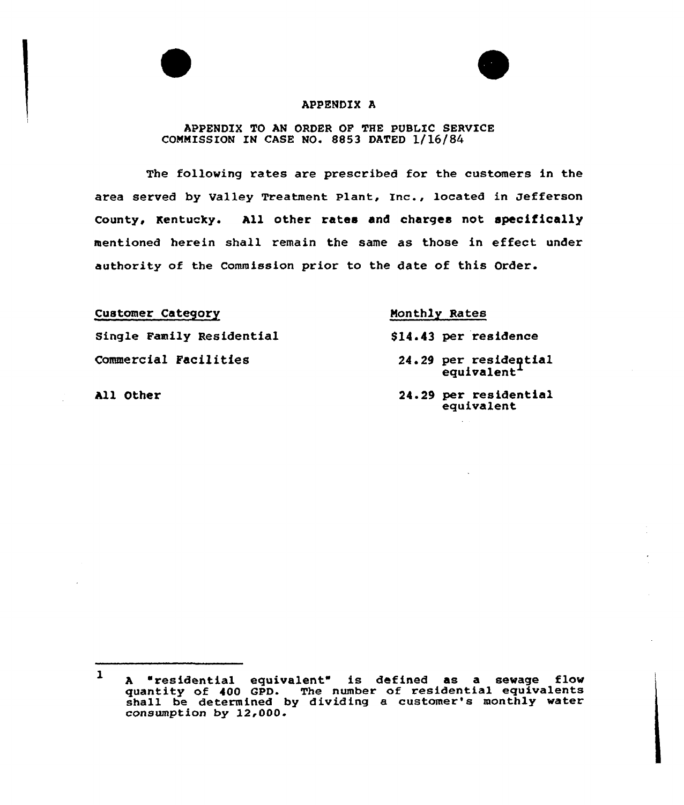

#### APPENDIX A

# APPENDIX TO AN ORDER OF THE PUBLIC SERVICE COMMISSION IN CASE NO» 8853 DATED 1/16/84

The following rates are prescribed for the customers in the area served by Valley Treatment Plant, Inc., located in Jeffexson County, Kentucky. All othex xates and charges not specifically mentioned herein shall remain the same as those in effeet under authority of the Commission prior to the date of this Order.

#### Customex Category

Single Family Residential Commercial Facilities

All Other

#### Monthly Rates

- 814.43 per residence
	- 24. 29 per resideptial equivalent
	- 24.29 per residential equivalent

 $\mathbf{1}$ <sup>A</sup> "residential equivalent" is defined as a sewage flow quantity of 400 GPD. The number of residential equivalent quantity of 400 GPD. The number of residential equivalence<br>shall be determined by dividing a customer's monthly water consumption by 12,000.